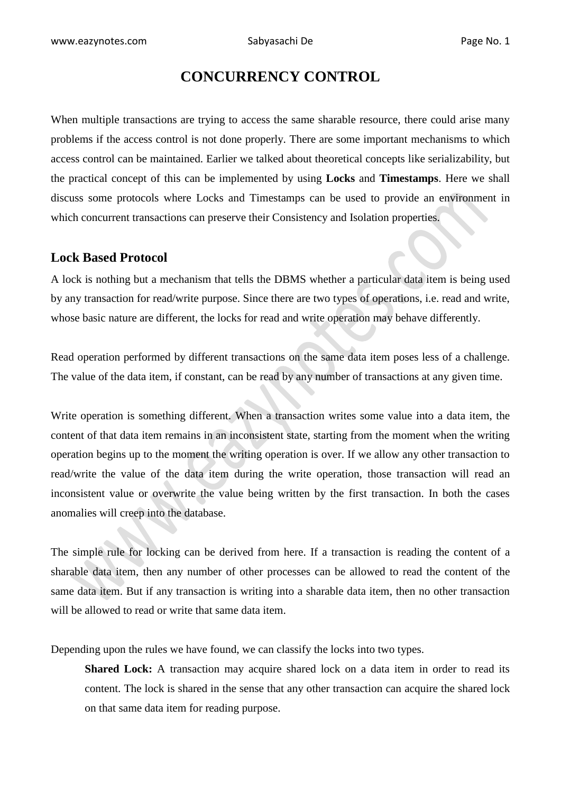# **CONCURRENCY CONTROL**

When multiple transactions are trying to access the same sharable resource, there could arise many problems if the access control is not done properly. There are some important mechanisms to which access control can be maintained. Earlier we talked about theoretical concepts like serializability, but the practical concept of this can be implemented by using **Locks** and **Timestamps**. Here we shall discuss some protocols where Locks and Timestamps can be used to provide an environment in which concurrent transactions can preserve their Consistency and Isolation properties.

# **Lock Based Protocol**

A lock is nothing but a mechanism that tells the DBMS whether a particular data item is being used by any transaction for read/write purpose. Since there are two types of operations, i.e. read and write, whose basic nature are different, the locks for read and write operation may behave differently.

Read operation performed by different transactions on the same data item poses less of a challenge. The value of the data item, if constant, can be read by any number of transactions at any given time.

Write operation is something different. When a transaction writes some value into a data item, the content of that data item remains in an inconsistent state, starting from the moment when the writing operation begins up to the moment the writing operation is over. If we allow any other transaction to read/write the value of the data item during the write operation, those transaction will read an inconsistent value or overwrite the value being written by the first transaction. In both the cases anomalies will creep into the database.

The simple rule for locking can be derived from here. If a transaction is reading the content of a sharable data item, then any number of other processes can be allowed to read the content of the same data item. But if any transaction is writing into a sharable data item, then no other transaction will be allowed to read or write that same data item.

Depending upon the rules we have found, we can classify the locks into two types.

**Shared Lock:** A transaction may acquire shared lock on a data item in order to read its content. The lock is shared in the sense that any other transaction can acquire the shared lock on that same data item for reading purpose.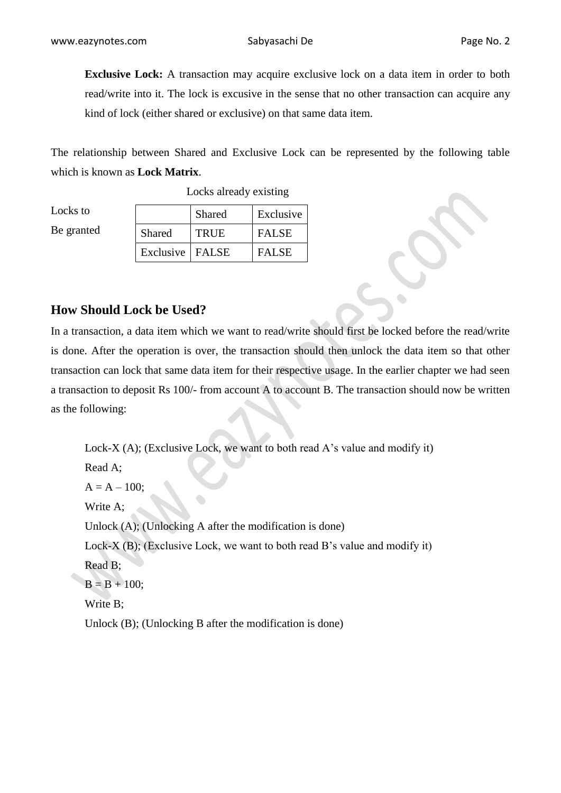**Exclusive Lock:** A transaction may acquire exclusive lock on a data item in order to both read/write into it. The lock is excusive in the sense that no other transaction can acquire any kind of lock (either shared or exclusive) on that same data item.

The relationship between Shared and Exclusive Lock can be represented by the following table which is known as **Lock Matrix**.

| Locks to   |                   | Shared      | Exclusive    |
|------------|-------------------|-------------|--------------|
| Be granted | Shared            | <b>TRUE</b> | <b>FALSE</b> |
|            | Exclusive   FALSE |             | <b>FALSE</b> |

Locks already existing

## **How Should Lock be Used?**

In a transaction, a data item which we want to read/write should first be locked before the read/write is done. After the operation is over, the transaction should then unlock the data item so that other transaction can lock that same data item for their respective usage. In the earlier chapter we had seen a transaction to deposit Rs 100/- from account A to account B. The transaction should now be written as the following:

Lock-X (A); (Exclusive Lock, we want to both read A's value and modify it) Read A;  $A = A - 100;$ Write A; Unlock (A); (Unlocking A after the modification is done) Lock-X (B); (Exclusive Lock, we want to both read B's value and modify it) Read B;  $B = B + 100;$ Write B; Unlock (B); (Unlocking B after the modification is done)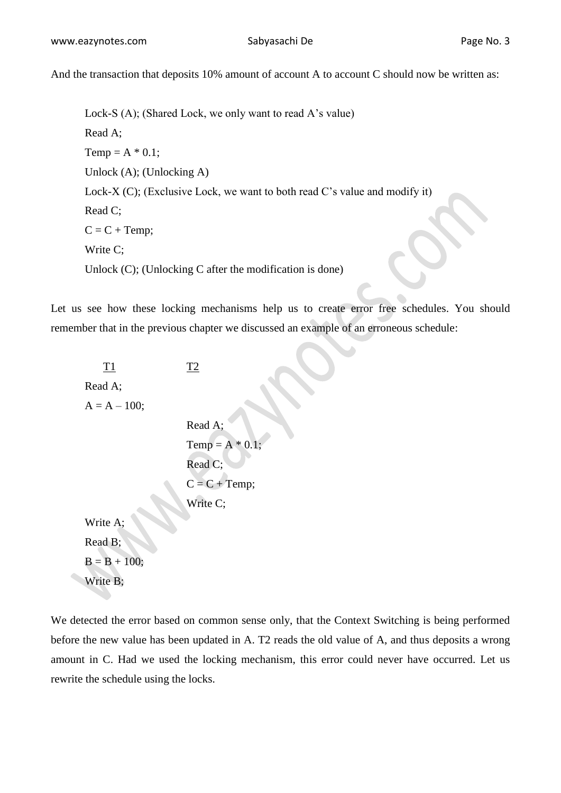And the transaction that deposits 10% amount of account A to account C should now be written as:

Lock-S (A); (Shared Lock, we only want to read A's value) Read A; Temp =  $A * 0.1$ ; Unlock (A); (Unlocking A) Lock-X (C); (Exclusive Lock, we want to both read C's value and modify it) Read C;  $C = C + Temp;$ Write C; Unlock (C); (Unlocking C after the modification is done)

Let us see how these locking mechanisms help us to create error free schedules. You should remember that in the previous chapter we discussed an example of an erroneous schedule:

T1 T2 Read A;  $A = A - 100;$ Read A; Temp =  $A * 0.1$ ; Read C;  $C = C + Temp;$ Write C: Write A;

Read B;  $B = B + 100$ ; Write B;

We detected the error based on common sense only, that the Context Switching is being performed before the new value has been updated in A. T2 reads the old value of A, and thus deposits a wrong amount in C. Had we used the locking mechanism, this error could never have occurred. Let us rewrite the schedule using the locks.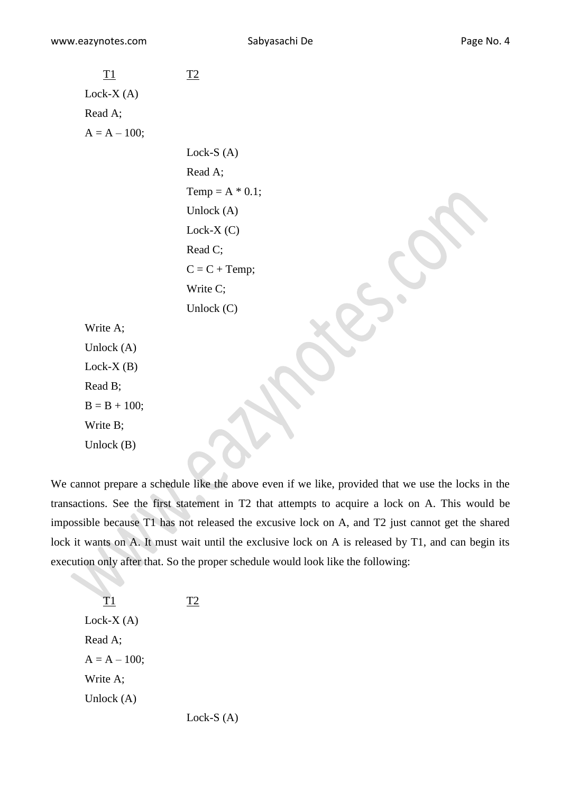T1 T2 Lock-X (A) Read A; A = A – 100; Lock-S (A) Read A; Temp = A \* 0.1; Unlock (A) Lock-X (C) Read C; C = C + Temp; Write C; Unlock (C) Write A; Unlock (A) Lock-X (B) Read B; B = B + 100; Write B; Unlock (B) 

We cannot prepare a schedule like the above even if we like, provided that we use the locks in the transactions. See the first statement in T2 that attempts to acquire a lock on A. This would be impossible because T1 has not released the excusive lock on A, and T2 just cannot get the shared lock it wants on A. It must wait until the exclusive lock on A is released by T1, and can begin its execution only after that. So the proper schedule would look like the following:

T1 T2 Lock-X (A) Read A; A = A – 100; Write A; Unlock (A) Lock-S (A)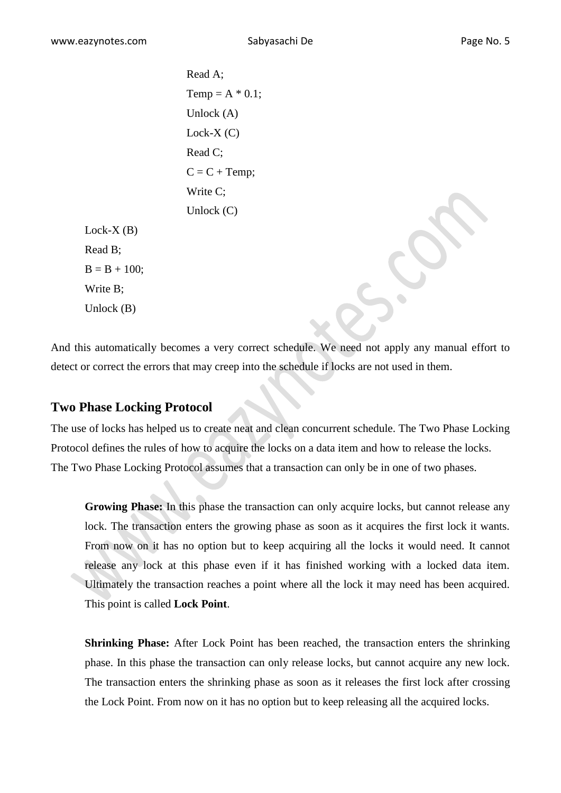Read A; Temp =  $A * 0.1$ ; Unlock (A) Lock- $X(C)$ Read C;  $C = C + Temp;$ Write C; Unlock (C)

Write B; Unlock (B)

Lock- $X(B)$ 

 $B = B + 100$ :

Read B;

And this automatically becomes a very correct schedule. We need not apply any manual effort to detect or correct the errors that may creep into the schedule if locks are not used in them.

# **Two Phase Locking Protocol**

The use of locks has helped us to create neat and clean concurrent schedule. The Two Phase Locking Protocol defines the rules of how to acquire the locks on a data item and how to release the locks. The Two Phase Locking Protocol assumes that a transaction can only be in one of two phases.

**Growing Phase:** In this phase the transaction can only acquire locks, but cannot release any lock. The transaction enters the growing phase as soon as it acquires the first lock it wants. From now on it has no option but to keep acquiring all the locks it would need. It cannot release any lock at this phase even if it has finished working with a locked data item. Ultimately the transaction reaches a point where all the lock it may need has been acquired. This point is called **Lock Point**.

**Shrinking Phase:** After Lock Point has been reached, the transaction enters the shrinking phase. In this phase the transaction can only release locks, but cannot acquire any new lock. The transaction enters the shrinking phase as soon as it releases the first lock after crossing the Lock Point. From now on it has no option but to keep releasing all the acquired locks.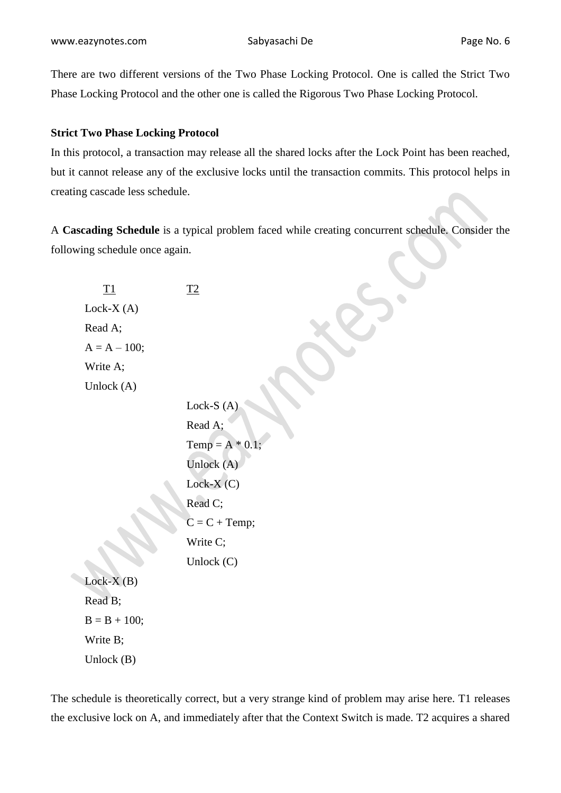www.eazynotes.com Sabyasachi De Page No. 6

There are two different versions of the Two Phase Locking Protocol. One is called the Strict Two Phase Locking Protocol and the other one is called the Rigorous Two Phase Locking Protocol.

## **Strict Two Phase Locking Protocol**

In this protocol, a transaction may release all the shared locks after the Lock Point has been reached, but it cannot release any of the exclusive locks until the transaction commits. This protocol helps in creating cascade less schedule.

A **Cascading Schedule** is a typical problem faced while creating concurrent schedule. Consider the following schedule once again.

| <u>T1</u>      | T2                 |
|----------------|--------------------|
| Lock- $X(A)$   |                    |
| Read A;        |                    |
| $A = A - 100;$ |                    |
| Write A:       |                    |
| Unlock $(A)$   |                    |
|                | Lock-S $(A)$       |
|                | Read A;            |
|                | Temp = $A * 0.1$ ; |
|                | Unlock (A)         |
|                | Lock- $X(C)$       |
|                | Read C;            |
|                | $C = C + Temp;$    |
|                | Write C;           |
|                | Unlock $(C)$       |
| $Lock-X(B)$    |                    |
| Read B;        |                    |
| $B = B + 100;$ |                    |
| Write B;       |                    |

Unlock (B)

The schedule is theoretically correct, but a very strange kind of problem may arise here. T1 releases the exclusive lock on A, and immediately after that the Context Switch is made. T2 acquires a shared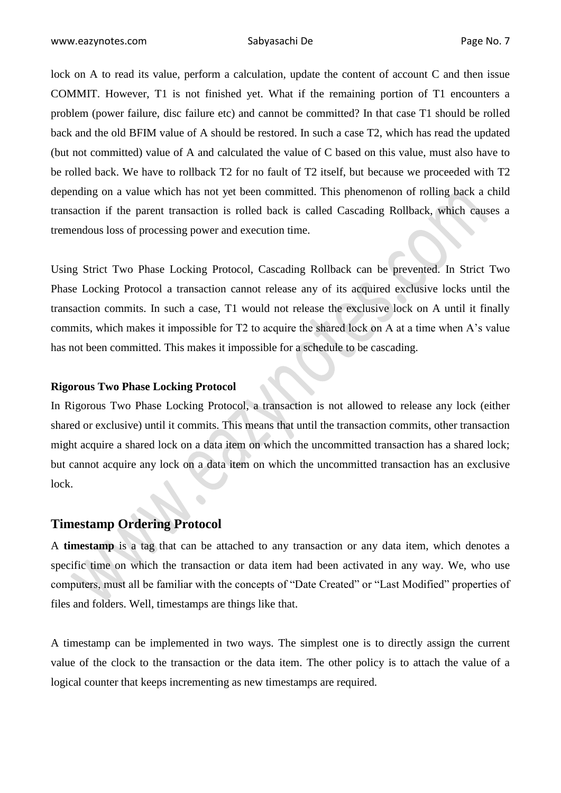lock on A to read its value, perform a calculation, update the content of account C and then issue COMMIT. However, T1 is not finished yet. What if the remaining portion of T1 encounters a problem (power failure, disc failure etc) and cannot be committed? In that case T1 should be rolled back and the old BFIM value of A should be restored. In such a case T2, which has read the updated (but not committed) value of A and calculated the value of C based on this value, must also have to be rolled back. We have to rollback T2 for no fault of T2 itself, but because we proceeded with T2 depending on a value which has not yet been committed. This phenomenon of rolling back a child transaction if the parent transaction is rolled back is called Cascading Rollback, which causes a tremendous loss of processing power and execution time.

Using Strict Two Phase Locking Protocol, Cascading Rollback can be prevented. In Strict Two Phase Locking Protocol a transaction cannot release any of its acquired exclusive locks until the transaction commits. In such a case, T1 would not release the exclusive lock on A until it finally commits, which makes it impossible for T2 to acquire the shared lock on A at a time when A's value has not been committed. This makes it impossible for a schedule to be cascading.

#### **Rigorous Two Phase Locking Protocol**

In Rigorous Two Phase Locking Protocol, a transaction is not allowed to release any lock (either shared or exclusive) until it commits. This means that until the transaction commits, other transaction might acquire a shared lock on a data item on which the uncommitted transaction has a shared lock; but cannot acquire any lock on a data item on which the uncommitted transaction has an exclusive lock.

#### **Timestamp Ordering Protocol**

A **timestamp** is a tag that can be attached to any transaction or any data item, which denotes a specific time on which the transaction or data item had been activated in any way. We, who use computers, must all be familiar with the concepts of "Date Created" or "Last Modified" properties of files and folders. Well, timestamps are things like that.

A timestamp can be implemented in two ways. The simplest one is to directly assign the current value of the clock to the transaction or the data item. The other policy is to attach the value of a logical counter that keeps incrementing as new timestamps are required.